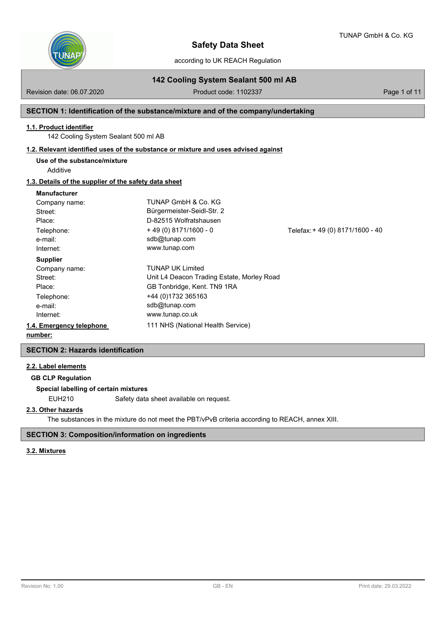

according to UK REACH Regulation

# **142 Cooling System Sealant 500 ml AB**

Revision date: 06.07.2020 Product code: 1102337 Product code: 1102337

# **SECTION 1: Identification of the substance/mixture and of the company/undertaking**

#### **1.1. Product identifier**

142 Cooling System Sealant 500 ml AB

### **1.2. Relevant identified uses of the substance or mixture and uses advised against**

**Use of the substance/mixture**

Additive

# **1.3. Details of the supplier of the safety data sheet**

#### **Manufacturer**

| number:                  |                                            |                                  |
|--------------------------|--------------------------------------------|----------------------------------|
| 1.4. Emergency telephone | 111 NHS (National Health Service)          |                                  |
| Internet:                | www.tunap.co.uk                            |                                  |
| e-mail:                  | sdb@tunap.com                              |                                  |
| Telephone:               | +44 (0)1732 365163                         |                                  |
| Place:                   | GB Tonbridge, Kent. TN9 1RA                |                                  |
| Street:                  | Unit L4 Deacon Trading Estate, Morley Road |                                  |
| Company name:            | <b>TUNAP UK Limited</b>                    |                                  |
| <b>Supplier</b>          |                                            |                                  |
| Internet:                | www.tunap.com                              |                                  |
| e-mail:                  | sdb@tunap.com                              |                                  |
| Telephone:               | $+49(0)8171/1600 - 0$                      | Telefax: + 49 (0) 8171/1600 - 40 |
| Place:                   | D-82515 Wolfratshausen                     |                                  |
| Street:                  | Bürgermeister-Seidl-Str. 2                 |                                  |
| Company name:            | TUNAP GmbH & Co. KG                        |                                  |
|                          |                                            |                                  |

# **SECTION 2: Hazards identification**

#### **2.2. Label elements**

**GB CLP Regulation**

### **Special labelling of certain mixtures**

EUH210 Safety data sheet available on request.

### **2.3. Other hazards**

The substances in the mixture do not meet the PBT/vPvB criteria according to REACH, annex XIII.

#### **SECTION 3: Composition/information on ingredients**

# **3.2. Mixtures**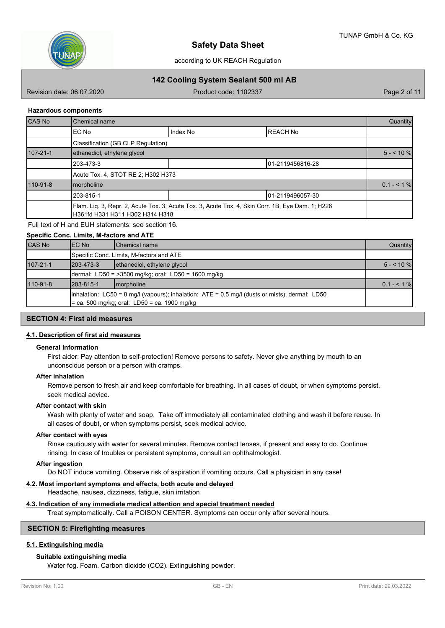

# **142 Cooling System Sealant 500 ml AB**

Revision date: 06.07.2020 **Product code: 1102337** Page 2 of 11

#### **Hazardous components**

| CAS No         | Chemical name                      |                                                                                                  |                   | Quantity     |
|----------------|------------------------------------|--------------------------------------------------------------------------------------------------|-------------------|--------------|
|                | EC No                              | Index No                                                                                         | <b>REACH No</b>   |              |
|                | Classification (GB CLP Regulation) |                                                                                                  |                   |              |
| $107 - 21 - 1$ | ethanediol, ethylene glycol        |                                                                                                  |                   |              |
|                | 203-473-3                          |                                                                                                  | 01-2119456816-28  |              |
|                | Acute Tox. 4, STOT RE 2; H302 H373 |                                                                                                  |                   |              |
| 110-91-8       | morpholine                         |                                                                                                  |                   | $0.1 - 51\%$ |
|                | 203-815-1                          |                                                                                                  | 101-2119496057-30 |              |
|                | H361fd H331 H311 H302 H314 H318    | Flam. Liq. 3, Repr. 2, Acute Tox. 3, Acute Tox. 3, Acute Tox. 4, Skin Corr. 1B, Eye Dam. 1; H226 |                   |              |

### Full text of H and EUH statements: see section 16.

**Specific Conc. Limits, M-factors and ATE**

|                | Specific Conc. Limits, M-Ractors and ATE            |                                                                                                                                                          |              |  |  |  |
|----------------|-----------------------------------------------------|----------------------------------------------------------------------------------------------------------------------------------------------------------|--------------|--|--|--|
| <b>CAS No</b>  | IEC No                                              | <b>I</b> Chemical name                                                                                                                                   | Quantity     |  |  |  |
|                |                                                     | Specific Conc. Limits, M-factors and ATE                                                                                                                 |              |  |  |  |
| $107 - 21 - 1$ | 1203-473-3                                          | ethanediol, ethylene glycol                                                                                                                              | $5 - 10\%$   |  |  |  |
|                | dermal: LD50 = >3500 mg/kg; oral: LD50 = 1600 mg/kg |                                                                                                                                                          |              |  |  |  |
| 110-91-8       | 1203-815-1                                          | Imorpholine                                                                                                                                              | $0.1 - 51\%$ |  |  |  |
|                |                                                     | $\lambda$ inhalation: LC50 = 8 mg/l (vapours); inhalation: ATE = 0,5 mg/l (dusts or mists); dermal: LD50<br>= ca. 500 mg/kg; oral: LD50 = ca. 1900 mg/kg |              |  |  |  |

# **SECTION 4: First aid measures**

#### **4.1. Description of first aid measures**

#### **General information**

First aider: Pay attention to self-protection! Remove persons to safety. Never give anything by mouth to an unconscious person or a person with cramps.

#### **After inhalation**

Remove person to fresh air and keep comfortable for breathing. In all cases of doubt, or when symptoms persist, seek medical advice.

#### **After contact with skin**

Wash with plenty of water and soap. Take off immediately all contaminated clothing and wash it before reuse. In all cases of doubt, or when symptoms persist, seek medical advice.

#### **After contact with eyes**

Rinse cautiously with water for several minutes. Remove contact lenses, if present and easy to do. Continue rinsing. In case of troubles or persistent symptoms, consult an ophthalmologist.

#### **After ingestion**

Do NOT induce vomiting. Observe risk of aspiration if vomiting occurs. Call a physician in any case!

#### **4.2. Most important symptoms and effects, both acute and delayed**

Headache, nausea, dizziness, fatigue, skin irritation

# **4.3. Indication of any immediate medical attention and special treatment needed**

Treat symptomatically. Call a POISON CENTER. Symptoms can occur only after several hours.

# **SECTION 5: Firefighting measures**

# **5.1. Extinguishing media**

#### **Suitable extinguishing media**

Water fog. Foam. Carbon dioxide (CO2). Extinguishing powder.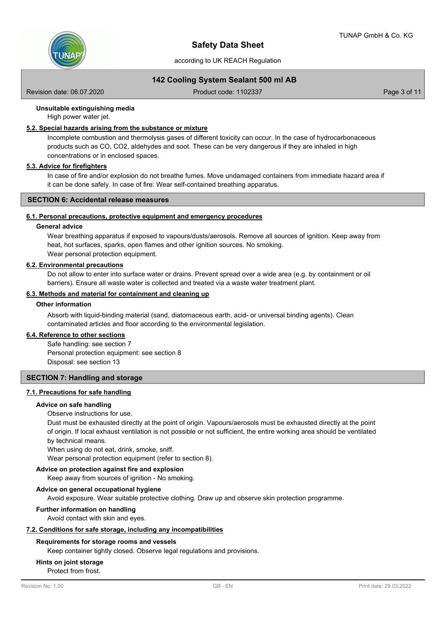

# **142 Cooling System Sealant 500 ml AB**

Revision date: 06.07.2020 **Product code: 1102337** Page 3 of 11

## **Unsuitable extinguishing media**

High power water jet.

# **5.2. Special hazards arising from the substance or mixture**

Incomplete combustion and thermolysis gases of different toxicity can occur. In the case of hydrocarbonaceous products such as CO, CO2, aldehydes and soot. These can be very dangerous if they are inhaled in high concentrations or in enclosed spaces.

#### **5.3. Advice for firefighters**

In case of fire and/or explosion do not breathe fumes. Move undamaged containers from immediate hazard area if it can be done safely. In case of fire: Wear self-contained breathing apparatus.

#### **SECTION 6: Accidental release measures**

### **6.1. Personal precautions, protective equipment and emergency procedures**

#### **General advice**

Wear breathing apparatus if exposed to vapours/dusts/aerosols. Remove all sources of ignition. Keep away from heat, hot surfaces, sparks, open flames and other ignition sources. No smoking. Wear personal protection equipment.

#### **6.2. Environmental precautions**

Do not allow to enter into surface water or drains. Prevent spread over a wide area (e.g. by containment or oil barriers). Ensure all waste water is collected and treated via a waste water treatment plant.

### **6.3. Methods and material for containment and cleaning up**

### **Other information**

Absorb with liquid-binding material (sand, diatomaceous earth, acid- or universal binding agents). Clean contaminated articles and floor according to the environmental legislation.

#### **6.4. Reference to other sections**

Safe handling: see section 7 Personal protection equipment: see section 8 Disposal: see section 13

### **SECTION 7: Handling and storage**

### **7.1. Precautions for safe handling**

#### **Advice on safe handling**

#### Observe instructions for use.

Dust must be exhausted directly at the point of origin. Vapours/aerosols must be exhausted directly at the point of origin. If local exhaust ventilation is not possible or not sufficient, the entire working area should be ventilated by technical means.

When using do not eat, drink, smoke, sniff.

Wear personal protection equipment (refer to section 8).

# **Advice on protection against fire and explosion**

Keep away from sources of ignition - No smoking.

#### **Advice on general occupational hygiene**

Avoid exposure. Wear suitable protective clothing. Draw up and observe skin protection programme.

#### **Further information on handling**

Avoid contact with skin and eyes.

#### **7.2. Conditions for safe storage, including any incompatibilities**

#### **Requirements for storage rooms and vessels**

Keep container tightly closed. Observe legal regulations and provisions.

### **Hints on joint storage**

Protect from frost.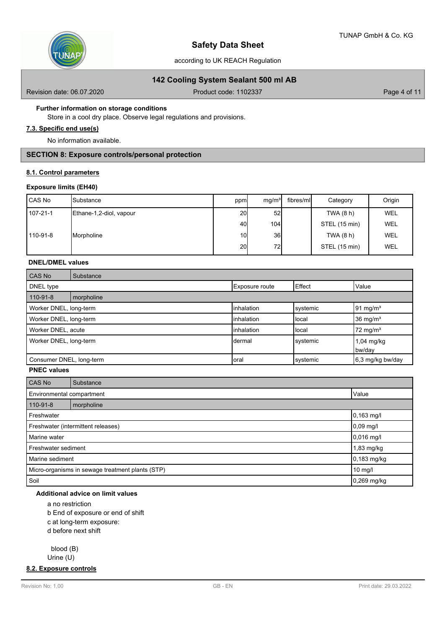

## **142 Cooling System Sealant 500 ml AB**

Revision date: 06.07.2020 **Product code: 1102337** Page 4 of 11

### **Further information on storage conditions**

Store in a cool dry place. Observe legal regulations and provisions.

# **7.3. Specific end use(s)**

No information available.

# **SECTION 8: Exposure controls/personal protection**

### **8.1. Control parameters**

#### **Exposure limits (EH40)**

| l CAS No | <b>I</b> Substance      | ppm             | mq/m <sup>3</sup> | fibres/ml | Category      | Origin     |
|----------|-------------------------|-----------------|-------------------|-----------|---------------|------------|
| 107-21-1 | Ethane-1,2-diol, vapour | 20 <sup>1</sup> | 52                |           | TWA (8 h)     | WEL        |
|          |                         | 40I             | 104               |           | STEL (15 min) | <b>WEL</b> |
| 110-91-8 | Morpholine              | 10 <sup>1</sup> | <b>36</b>         |           | TWA (8 h)     | WEL        |
|          |                         | 20 <sup>1</sup> | 72                |           | STEL (15 min) | <b>WEL</b> |

# **DNEL/DMEL values**

| CAS No                   | Substance  |                    |          |                        |
|--------------------------|------------|--------------------|----------|------------------------|
| DNEL type                |            | Exposure route     | Effect   | Value                  |
| 110-91-8                 | morpholine |                    |          |                        |
| Worker DNEL, long-term   |            | <b>linhalation</b> | svstemic | $91 \text{ mg/m}^3$    |
| Worker DNEL, long-term   |            | <b>linhalation</b> | Ilocal   | 36 mg/m <sup>3</sup>   |
| Worker DNEL, acute       |            | <b>linhalation</b> | Ilocal   | $72 \text{ mg/m}^3$    |
| Worker DNEL, long-term   |            | Idermal            | svstemic | $1,04$ mg/kg<br>bw/day |
| Consumer DNEL, long-term |            | Ioral              | systemic | 6,3 mg/kg bw/day       |

# **PNEC values**

| CAS No                                           | Substance |             |  |  |
|--------------------------------------------------|-----------|-------------|--|--|
| Environmental compartment                        |           | Value       |  |  |
| 110-91-8<br>morpholine                           |           |             |  |  |
| Freshwater                                       |           | 0,163 mg/l  |  |  |
| Freshwater (intermittent releases)               |           | $0,09$ mg/l |  |  |
| Marine water                                     |           | 0,016 mg/l  |  |  |
| Freshwater sediment                              |           | 1,83 mg/kg  |  |  |
| Marine sediment                                  |           | 0,183 mg/kg |  |  |
| Micro-organisms in sewage treatment plants (STP) |           | 10 mg/l     |  |  |
| Soil                                             |           | 0,269 mg/kg |  |  |

# **Additional advice on limit values**

a no restriction

b End of exposure or end of shift

c at long-term exposure:

d before next shift

blood (B)

Urine (U)

**8.2. Exposure controls**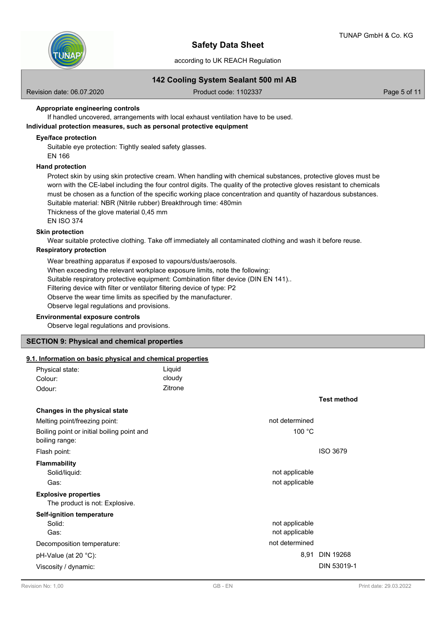

# **142 Cooling System Sealant 500 ml AB**

Revision date: 06.07.2020 **Product code: 1102337** Page 5 of 11

### **Appropriate engineering controls**

If handled uncovered, arrangements with local exhaust ventilation have to be used.

# **Individual protection measures, such as personal protective equipment**

#### **Eye/face protection**

Suitable eye protection: Tightly sealed safety glasses.

# EN 166

# **Hand protection**

Protect skin by using skin protective cream. When handling with chemical substances, protective gloves must be worn with the CE-label including the four control digits. The quality of the protective gloves resistant to chemicals must be chosen as a function of the specific working place concentration and quantity of hazardous substances. Suitable material: NBR (Nitrile rubber) Breakthrough time: 480min

Thickness of the glove material 0,45 mm

EN ISO 374

#### **Skin protection**

Wear suitable protective clothing. Take off immediately all contaminated clothing and wash it before reuse.

#### **Respiratory protection**

Wear breathing apparatus if exposed to vapours/dusts/aerosols. When exceeding the relevant workplace exposure limits, note the following: Suitable respiratory protective equipment: Combination filter device (DIN EN 141).. Filtering device with filter or ventilator filtering device of type: P2 Observe the wear time limits as specified by the manufacturer. Observe legal regulations and provisions.

#### **Environmental exposure controls**

Observe legal regulations and provisions.

# **SECTION 9: Physical and chemical properties**

# **9.1. Information on basic physical and chemical properties**

| Physical state:<br>Colour:                                    | Liquid<br>cloudy |                                  |                    |
|---------------------------------------------------------------|------------------|----------------------------------|--------------------|
| Odour:                                                        | Zitrone          |                                  |                    |
|                                                               |                  |                                  | <b>Test method</b> |
| Changes in the physical state                                 |                  |                                  |                    |
| Melting point/freezing point:                                 |                  | not determined                   |                    |
| Boiling point or initial boiling point and<br>boiling range:  |                  | 100 °C                           |                    |
| Flash point:                                                  |                  |                                  | <b>ISO 3679</b>    |
| <b>Flammability</b><br>Solid/liquid:                          |                  | not applicable                   |                    |
| Gas:                                                          |                  | not applicable                   |                    |
| <b>Explosive properties</b><br>The product is not: Explosive. |                  |                                  |                    |
| Self-ignition temperature                                     |                  |                                  |                    |
| Solid:<br>Gas:                                                |                  | not applicable<br>not applicable |                    |
| Decomposition temperature:                                    |                  | not determined                   |                    |
| pH-Value (at 20 °C):                                          |                  | 8,91                             | <b>DIN 19268</b>   |
| Viscosity / dynamic:                                          |                  |                                  | DIN 53019-1        |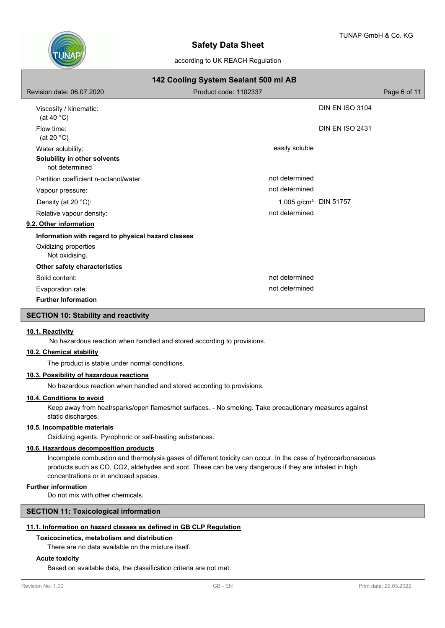

| 142 Cooling System Sealant 500 ml AB                                |                                   |                        |              |  |  |  |
|---------------------------------------------------------------------|-----------------------------------|------------------------|--------------|--|--|--|
| Revision date: 06.07.2020                                           | Product code: 1102337             |                        | Page 6 of 11 |  |  |  |
| Viscosity / kinematic:<br>(at 40 $^{\circ}$ C)                      |                                   | <b>DIN EN ISO 3104</b> |              |  |  |  |
| Flow time:<br>(at 20 $°C$ )                                         |                                   | <b>DIN EN ISO 2431</b> |              |  |  |  |
| Water solubility:<br>Solubility in other solvents<br>not determined | easily soluble                    |                        |              |  |  |  |
| Partition coefficient n-octanol/water:                              | not determined                    |                        |              |  |  |  |
| Vapour pressure:                                                    | not determined                    |                        |              |  |  |  |
| Density (at 20 °C):                                                 | 1,005 g/cm <sup>3</sup> DIN 51757 |                        |              |  |  |  |
| Relative vapour density:                                            | not determined                    |                        |              |  |  |  |
| 9.2. Other information                                              |                                   |                        |              |  |  |  |
| Information with regard to physical hazard classes                  |                                   |                        |              |  |  |  |
| Oxidizing properties<br>Not oxidising.                              |                                   |                        |              |  |  |  |
| Other safety characteristics                                        |                                   |                        |              |  |  |  |
| Solid content:                                                      | not determined                    |                        |              |  |  |  |
| Evaporation rate:                                                   | not determined                    |                        |              |  |  |  |
| <b>Further Information</b>                                          |                                   |                        |              |  |  |  |

# **SECTION 10: Stability and reactivity**

#### **10.1. Reactivity**

No hazardous reaction when handled and stored according to provisions.

# **10.2. Chemical stability**

The product is stable under normal conditions.

# **10.3. Possibility of hazardous reactions**

No hazardous reaction when handled and stored according to provisions.

#### **10.4. Conditions to avoid**

Keep away from heat/sparks/open flames/hot surfaces. - No smoking. Take precautionary measures against static discharges.

#### **10.5. Incompatible materials**

Oxidizing agents. Pyrophoric or self-heating substances.

# **10.6. Hazardous decomposition products**

Incomplete combustion and thermolysis gases of different toxicity can occur. In the case of hydrocarbonaceous products such as CO, CO2, aldehydes and soot. These can be very dangerous if they are inhaled in high concentrations or in enclosed spaces.

## **Further information**

Do not mix with other chemicals.

# **SECTION 11: Toxicological information**

# **11.1. Information on hazard classes as defined in GB CLP Regulation**

#### **Toxicocinetics, metabolism and distribution**

There are no data available on the mixture itself.

#### **Acute toxicity**

Based on available data, the classification criteria are not met.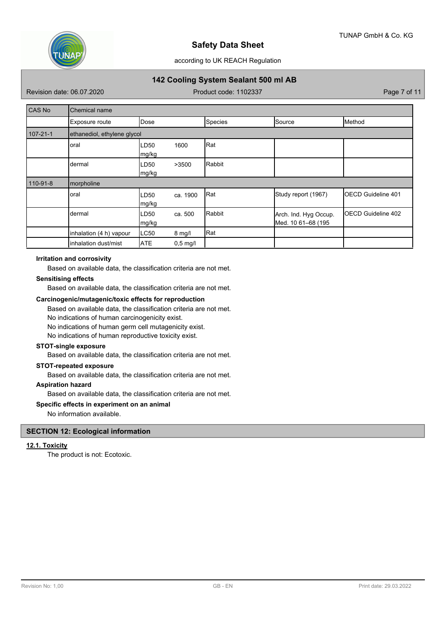

# according to UK REACH Regulation

# **142 Cooling System Sealant 500 ml AB**

Revision date: 06.07.2020 **Product code: 1102337** Page 7 of 11

| <b>CAS No</b>  | <b>Chemical name</b>        |                |            |         |                                             |                            |  |
|----------------|-----------------------------|----------------|------------|---------|---------------------------------------------|----------------------------|--|
|                | Exposure route              | <b>IDose</b>   |            | Species | Source                                      | Method                     |  |
| $107 - 21 - 1$ | ethanediol, ethylene glycol |                |            |         |                                             |                            |  |
|                | oral                        | LD50<br> mg/kg | 1600       | Rat     |                                             |                            |  |
|                | dermal                      | LD50<br>mg/kg  | >3500      | Rabbit  |                                             |                            |  |
| 110-91-8       | morpholine                  |                |            |         |                                             |                            |  |
|                | oral                        | LD50<br> mg/kg | ca. 1900   | Rat     | Study report (1967)                         | <b>IOECD Guideline 401</b> |  |
|                | dermal                      | LD50<br>mg/kg  | ca. 500    | Rabbit  | Arch. Ind. Hyg Occup.<br>Med. 10 61-68 (195 | <b>IOECD Guideline 402</b> |  |
|                | inhalation (4 h) vapour     | LC50           | $8$ mg/l   | Rat     |                                             |                            |  |
|                | inhalation dust/mist        | <b>ATE</b>     | $0,5$ mg/l |         |                                             |                            |  |

#### **Irritation and corrosivity**

Based on available data, the classification criteria are not met.

### **Sensitising effects**

Based on available data, the classification criteria are not met.

#### **Carcinogenic/mutagenic/toxic effects for reproduction**

Based on available data, the classification criteria are not met.

No indications of human carcinogenicity exist.

No indications of human germ cell mutagenicity exist.

No indications of human reproductive toxicity exist.

# **STOT-single exposure**

Based on available data, the classification criteria are not met.

# **STOT-repeated exposure**

Based on available data, the classification criteria are not met.

# **Aspiration hazard**

Based on available data, the classification criteria are not met.

### **Specific effects in experiment on an animal**

No information available.

# **SECTION 12: Ecological information**

#### **12.1. Toxicity**

The product is not: Ecotoxic.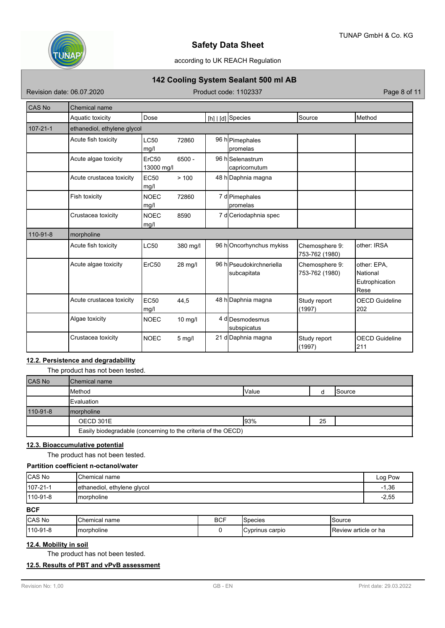

# according to UK REACH Regulation

# **142 Cooling System Sealant 500 ml AB**

Revision date: 06.07.2020 Product code: 1102337 Product code: 1102337

| <b>CAS No</b>  | <b>Chemical name</b>        |                     |           |  |                                         |                                  |                                                   |
|----------------|-----------------------------|---------------------|-----------|--|-----------------------------------------|----------------------------------|---------------------------------------------------|
|                | Aquatic toxicity            | Dose                |           |  | $[h]   [d]$ Species                     | Source                           | Method                                            |
| $107 - 21 - 1$ | ethanediol, ethylene glycol |                     |           |  |                                         |                                  |                                                   |
|                | Acute fish toxicity         | <b>LC50</b><br>mg/l | 72860     |  | 96 h Pimephales<br><b>promelas</b>      |                                  |                                                   |
|                | Acute algae toxicity        | ErC50<br>13000 mg/l | $6500 -$  |  | 96 h Selenastrum<br>capricornutum       |                                  |                                                   |
|                | Acute crustacea toxicity    | <b>EC50</b><br>mg/l | > 100     |  | 48 h Daphnia magna                      |                                  |                                                   |
|                | Fish toxicity               | <b>NOEC</b><br>mg/l | 72860     |  | 7 d Pimephales<br><b>promelas</b>       |                                  |                                                   |
|                | Crustacea toxicity          | <b>NOEC</b><br>mg/l | 8590      |  | 7 d Ceriodaphnia spec                   |                                  |                                                   |
| 110-91-8       | morpholine                  |                     |           |  |                                         |                                  |                                                   |
|                | Acute fish toxicity         | <b>LC50</b>         | 380 mg/l  |  | 96 hOncorhynchus mykiss                 | Chemosphere 9:<br>753-762 (1980) | other: IRSA                                       |
|                | Acute algae toxicity        | ErC50               | 28 mg/l   |  | 96 h Pseudokirchneriella<br>subcapitata | Chemosphere 9:<br>753-762 (1980) | other: EPA,<br>National<br>Eutrophication<br>Rese |
|                | Acute crustacea toxicity    | <b>EC50</b><br>mg/l | 44,5      |  | 48 h Daphnia magna                      | Study report<br>(1997)           | <b>OECD Guideline</b><br>202                      |
|                | Algae toxicity              | <b>NOEC</b>         | $10$ mg/l |  | 4 d Desmodesmus<br>subspicatus          |                                  |                                                   |
|                | Crustacea toxicity          | <b>NOEC</b>         | $5$ mg/l  |  | 21 d Daphnia magna                      | Study report<br>(1997)           | <b>OECD Guideline</b><br>211                      |

# **12.2. Persistence and degradability**

The product has not been tested.

| <b>CAS No</b> | IChemical name                                                |              |    |                |  |
|---------------|---------------------------------------------------------------|--------------|----|----------------|--|
|               | <b>Method</b>                                                 | <b>Value</b> |    | <b>ISource</b> |  |
|               | <b>Evaluation</b>                                             |              |    |                |  |
| 110-91-8      | Imorpholine                                                   |              |    |                |  |
|               | OECD 301E                                                     | 193%         | 25 |                |  |
|               | Easily biodegradable (concerning to the criteria of the OECD) |              |    |                |  |

# **12.3. Bioaccumulative potential**

The product has not been tested.

#### **Partition coefficient n-octanol/water**

| CAS No           | <b>I</b> Chemical name      |            |                |          | Log Pow |
|------------------|-----------------------------|------------|----------------|----------|---------|
| $107 - 21 - 1$   | ethanediol, ethylene glycol |            |                |          | $-1,36$ |
| $ 110 - 91 - 8 $ | <b>Imorpholine</b>          |            |                |          | $-2,55$ |
| <b>BCF</b>       |                             |            |                |          |         |
| 0.001            | $\overline{A}$              | <b>DOF</b> | $10 - 20 - 20$ | 10.20222 |         |

|                                      | name<br>hemica. | <b>BCF</b><br>$\sim$ $\sim$ | pecies           | source                                 |
|--------------------------------------|-----------------|-----------------------------|------------------|----------------------------------------|
| 1110<br>norpholine<br>J-9<br>' I – C |                 |                             | carpio<br>$\sum$ | <sup>,</sup> article or ha<br>⊥Review: |

# **12.4. Mobility in soil**

The product has not been tested.

### **12.5. Results of PBT and vPvB assessment**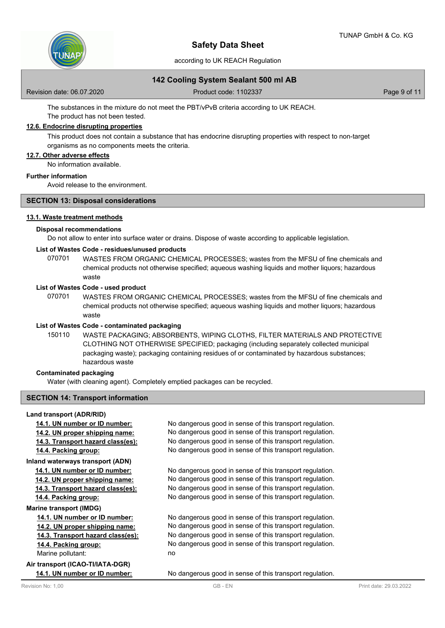

according to UK REACH Regulation

# **142 Cooling System Sealant 500 ml AB**

Revision date: 06.07.2020 **Product code: 1102337** Page 9 of 11

The substances in the mixture do not meet the PBT/vPvB criteria according to UK REACH.

# The product has not been tested. **12.6. Endocrine disrupting properties**

This product does not contain a substance that has endocrine disrupting properties with respect to non-target organisms as no components meets the criteria.

# **12.7. Other adverse effects**

No information available.

#### **Further information**

Avoid release to the environment.

#### **SECTION 13: Disposal considerations**

#### **13.1. Waste treatment methods**

#### **Disposal recommendations**

Do not allow to enter into surface water or drains. Dispose of waste according to applicable legislation.

# **List of Wastes Code - residues/unused products**

070701 WASTES FROM ORGANIC CHEMICAL PROCESSES; wastes from the MFSU of fine chemicals and chemical products not otherwise specified; aqueous washing liquids and mother liquors; hazardous waste

## **List of Wastes Code - used product**

WASTES FROM ORGANIC CHEMICAL PROCESSES; wastes from the MFSU of fine chemicals and chemical products not otherwise specified; aqueous washing liquids and mother liquors; hazardous waste 070701

#### **List of Wastes Code - contaminated packaging**

WASTE PACKAGING; ABSORBENTS, WIPING CLOTHS, FILTER MATERIALS AND PROTECTIVE CLOTHING NOT OTHERWISE SPECIFIED; packaging (including separately collected municipal packaging waste); packaging containing residues of or contaminated by hazardous substances; hazardous waste 150110

#### **Contaminated packaging**

Water (with cleaning agent). Completely emptied packages can be recycled.

### **SECTION 14: Transport information**

#### **Land transport (ADR/RID)**

| 14.1. UN number or ID number:     | No dangerous good in sense of this transport regulation. |
|-----------------------------------|----------------------------------------------------------|
| 14.2. UN proper shipping name:    | No dangerous good in sense of this transport regulation. |
| 14.3. Transport hazard class(es): | No dangerous good in sense of this transport regulation. |
| 14.4. Packing group:              | No dangerous good in sense of this transport regulation. |
| Inland waterways transport (ADN)  |                                                          |
| 14.1. UN number or ID number:     | No dangerous good in sense of this transport regulation. |
| 14.2. UN proper shipping name:    | No dangerous good in sense of this transport regulation. |
| 14.3. Transport hazard class(es): | No dangerous good in sense of this transport regulation. |
| 14.4. Packing group:              | No dangerous good in sense of this transport regulation. |
| <b>Marine transport (IMDG)</b>    |                                                          |
| 14.1. UN number or ID number:     | No dangerous good in sense of this transport regulation. |
| 14.2. UN proper shipping name:    | No dangerous good in sense of this transport regulation. |
| 14.3. Transport hazard class(es): | No dangerous good in sense of this transport regulation. |
| 14.4. Packing group:              | No dangerous good in sense of this transport regulation. |
| Marine pollutant:                 | no                                                       |
| Air transport (ICAO-TI/IATA-DGR)  |                                                          |
| 14.1. UN number or ID number:     | No dangerous good in sense of this transport regulation. |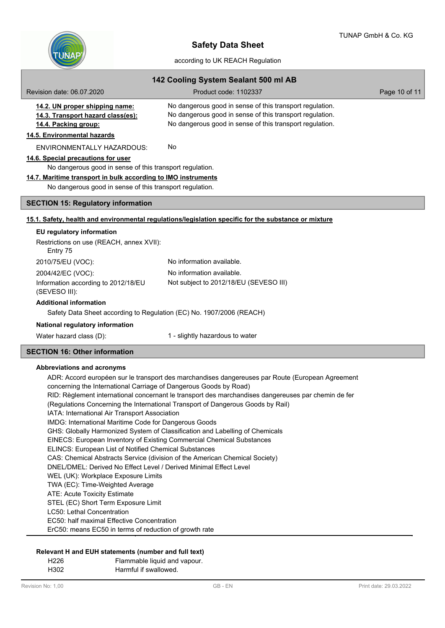

| 142 Cooling System Sealant 500 ml AB                                                                                                                                                                                        |                                                                                                                                                                                  |               |  |  |
|-----------------------------------------------------------------------------------------------------------------------------------------------------------------------------------------------------------------------------|----------------------------------------------------------------------------------------------------------------------------------------------------------------------------------|---------------|--|--|
| Revision date: 06.07.2020                                                                                                                                                                                                   | Product code: 1102337                                                                                                                                                            | Page 10 of 11 |  |  |
| 14.2. UN proper shipping name:<br>14.3. Transport hazard class(es):<br>14.4. Packing group:<br>14.5. Environmental hazards                                                                                                  | No dangerous good in sense of this transport regulation.<br>No dangerous good in sense of this transport regulation.<br>No dangerous good in sense of this transport regulation. |               |  |  |
| <b>ENVIRONMENTALLY HAZARDOUS:</b>                                                                                                                                                                                           | No                                                                                                                                                                               |               |  |  |
| 14.6. Special precautions for user<br>No dangerous good in sense of this transport regulation.<br>14.7. Maritime transport in bulk according to IMO instruments<br>No dangerous good in sense of this transport regulation. |                                                                                                                                                                                  |               |  |  |
| <b>SECTION 15: Regulatory information</b>                                                                                                                                                                                   |                                                                                                                                                                                  |               |  |  |
|                                                                                                                                                                                                                             | 15.1. Safety, health and environmental regulations/legislation specific for the substance or mixture                                                                             |               |  |  |
| EU regulatory information<br>Restrictions on use (REACH, annex XVII):                                                                                                                                                       |                                                                                                                                                                                  |               |  |  |
| Entry 75                                                                                                                                                                                                                    |                                                                                                                                                                                  |               |  |  |
| 2010/75/EU (VOC):                                                                                                                                                                                                           | No information available.                                                                                                                                                        |               |  |  |
| 2004/42/EC (VOC):<br>Information according to 2012/18/EU<br>(SEVESO III):                                                                                                                                                   | No information available.<br>Not subject to 2012/18/EU (SEVESO III)                                                                                                              |               |  |  |
| <b>Additional information</b><br>Safety Data Sheet according to Regulation (EC) No. 1907/2006 (REACH)                                                                                                                       |                                                                                                                                                                                  |               |  |  |
| National regulatory information                                                                                                                                                                                             |                                                                                                                                                                                  |               |  |  |
| Water hazard class (D):                                                                                                                                                                                                     | 1 - slightly hazardous to water                                                                                                                                                  |               |  |  |
| <b>SECTION 16: Other information</b>                                                                                                                                                                                        |                                                                                                                                                                                  |               |  |  |
| <b>Abbreviations and acronyms</b>                                                                                                                                                                                           |                                                                                                                                                                                  |               |  |  |

ADR: Accord européen sur le transport des marchandises dangereuses par Route (European Agreement concerning the International Carriage of Dangerous Goods by Road) RID: Règlement international concernant le transport des marchandises dangereuses par chemin de fer (Regulations Concerning the International Transport of Dangerous Goods by Rail) IATA: International Air Transport Association IMDG: International Maritime Code for Dangerous Goods GHS: Globally Harmonized System of Classification and Labelling of Chemicals EINECS: European Inventory of Existing Commercial Chemical Substances ELINCS: European List of Notified Chemical Substances CAS: Chemical Abstracts Service (division of the American Chemical Society) DNEL/DMEL: Derived No Effect Level / Derived Minimal Effect Level WEL (UK): Workplace Exposure Limits TWA (EC): Time-Weighted Average ATE: Acute Toxicity Estimate STEL (EC) Short Term Exposure Limit LC50: Lethal Concentration EC50: half maximal Effective Concentration ErC50: means EC50 in terms of reduction of growth rate

# **Relevant H and EUH statements (number and full text)**

H226 Flammable liquid and vapour.